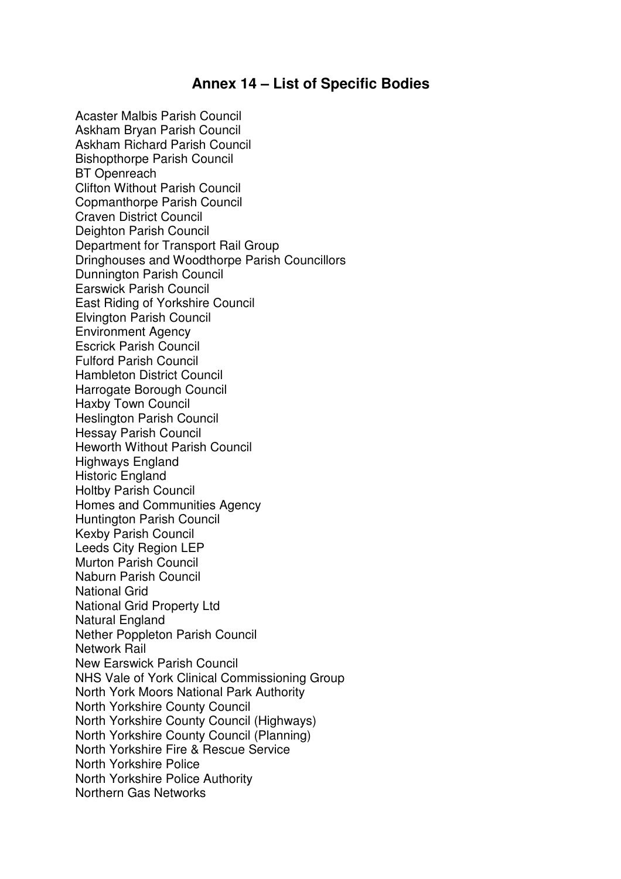## **Annex 14 – List of Specific Bodies**

Acaster Malbis Parish Council Askham Bryan Parish Council Askham Richard Parish Council Bishopthorpe Parish Council BT Openreach Clifton Without Parish Council Copmanthorpe Parish Council Craven District Council Deighton Parish Council Department for Transport Rail Group Dringhouses and Woodthorpe Parish Councillors Dunnington Parish Council Earswick Parish Council East Riding of Yorkshire Council Elvington Parish Council Environment Agency Escrick Parish Council Fulford Parish Council Hambleton District Council Harrogate Borough Council Haxby Town Council Heslington Parish Council Hessay Parish Council Heworth Without Parish Council Highways England Historic England Holtby Parish Council Homes and Communities Agency Huntington Parish Council Kexby Parish Council Leeds City Region LEP Murton Parish Council Naburn Parish Council National Grid National Grid Property Ltd Natural England Nether Poppleton Parish Council Network Rail New Earswick Parish Council NHS Vale of York Clinical Commissioning Group North York Moors National Park Authority North Yorkshire County Council North Yorkshire County Council (Highways) North Yorkshire County Council (Planning) North Yorkshire Fire & Rescue Service North Yorkshire Police North Yorkshire Police Authority Northern Gas Networks